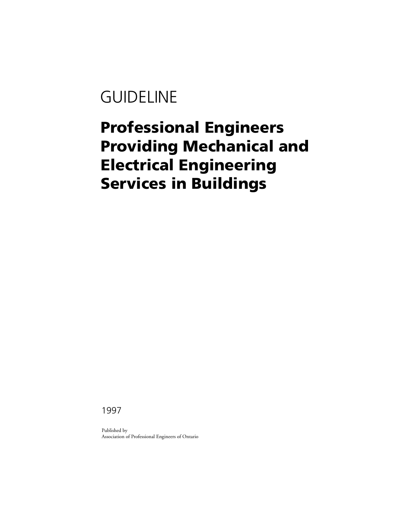# **GUIDELINE**

# **Professional Engineers Providing Mechanical and Electrical Engineering Services in Buildings**

1997

Published by Association of Professional Engineers of Ontario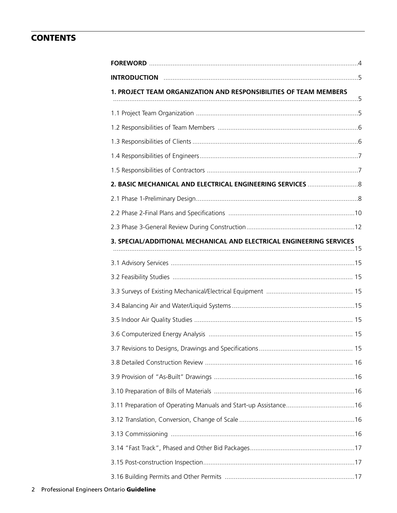# **CONTENTS**

| 1. PROJECT TEAM ORGANIZATION AND RESPONSIBILITIES OF TEAM MEMBERS    |  |
|----------------------------------------------------------------------|--|
|                                                                      |  |
|                                                                      |  |
|                                                                      |  |
|                                                                      |  |
|                                                                      |  |
|                                                                      |  |
|                                                                      |  |
|                                                                      |  |
|                                                                      |  |
| 3. SPECIAL/ADDITIONAL MECHANICAL AND ELECTRICAL ENGINEERING SERVICES |  |
|                                                                      |  |
|                                                                      |  |
|                                                                      |  |
|                                                                      |  |
|                                                                      |  |
|                                                                      |  |
|                                                                      |  |
|                                                                      |  |
|                                                                      |  |
|                                                                      |  |
|                                                                      |  |
|                                                                      |  |
|                                                                      |  |
|                                                                      |  |
|                                                                      |  |
|                                                                      |  |
|                                                                      |  |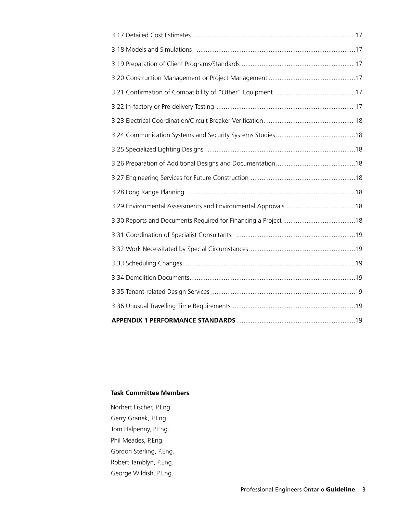## **Task Committee Members**

Norbert Fischer, P.Eng. Gerry Granek, P.Eng. Tom Halpenny, P.Eng. Phil Meades, P.Eng. Gordon Sterling, P.Eng. Robert Tamblyn, P.Eng. George Wildish, P.Eng.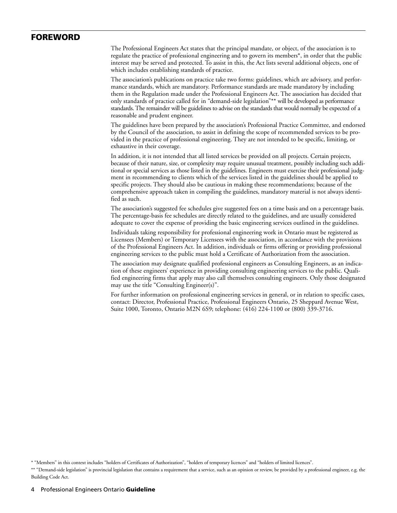## **FOREWORD**

The Professional Engineers Act states that the principal mandate, or object, of the association is to regulate the practice of professional engineering and to govern its members\*, in order that the public interest may be served and protected. To assist in this, the Act lists several additional objects, one of which includes establishing standards of practice.

The association's publications on practice take two forms: guidelines, which are advisory, and performance standards, which are mandatory. Performance standards are made mandatory by including them in the Regulation made under the Professional Engineers Act. The association has decided that only standards of practice called for in "demand-side legislation"\*\* will be developed as performance standards. The remainder will be guidelines to advise on the standards that would normally be expected of a reasonable and prudent engineer.

The guidelines have been prepared by the association's Professional Practice Committee, and endorsed by the Council of the association, to assist in defining the scope of recommended services to be provided in the practice of professional engineering. They are not intended to be specific, limiting, or exhaustive in their coverage.

In addition, it is not intended that all listed services be provided on all projects. Certain projects, because of their nature, size, or complexity may require unusual treatment, possibly including such additional or special services as those listed in the guidelines. Engineers must exercise their professional judgment in recommending to clients which of the services listed in the guidelines should be applied to specific projects. They should also be cautious in making these recommendations; because of the comprehensive approach taken in compiling the guidelines, mandatory material is not always identified as such.

The association's suggested fee schedules give suggested fees on a time basis and on a percentage basis. The percentage-basis fee schedules are directly related to the guidelines, and are usually considered adequate to cover the expense of providing the basic engineering services outlined in the guidelines.

Individuals taking responsibility for professional engineering work in Ontario must be registered as Licensees (Members) or Temporary Licensees with the association, in accordance with the provisions of the Professional Engineers Act. In addition, individuals or firms offering or providing professional engineering services to the public must hold a Certificate of Authorization from the association.

The association may designate qualified professional engineers as Consulting Engineers, as an indication of these engineers' experience in providing consulting engineering services to the public. Qualified engineering firms that apply may also call themselves consulting engineers. Only those designated may use the title "Consulting Engineer(s)".

For further information on professional engineering services in general, or in relation to specific cases, contact: Director, Professional Practice, Professional Engineers Ontario, 25 Sheppard Avenue West, Suite 1000, Toronto, Ontario M2N 6S9; telephone: (416) 224-1100 or (800) 339-3716.

<sup>\*</sup> "Members" in this context includes "holders of Certificates of Authorization", "holders of temporary licences" and "holders of limited licences".

<sup>\*\* &</sup>quot;Demand-side legislation" is provincial legislation that contains a requirement that a service, such as an opinion or review, be provided by a professional engineer, e.g. the Building Code Act.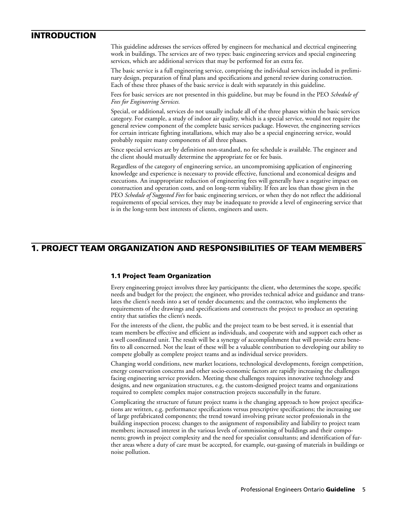## **INTRODUCTION**

This guideline addresses the services offered by engineers for mechanical and electrical engineering work in buildings. The services are of two types: basic engineering services and special engineering services, which are additional services that may be performed for an extra fee.

The basic service is a full engineering service, comprising the individual services included in preliminary design, preparation of final plans and specifications and general review during construction. Each of these three phases of the basic service is dealt with separately in this guideline.

Fees for basic services are not presented in this guideline, but may be found in the PEO *Schedule of Fees for Engineering Services.*

Special, or additional, services do not usually include all of the three phases within the basic services category. For example, a study of indoor air quality, which is a special service, would not require the general review component of the complete basic services package. However, the engineering services for certain intricate fighting installations, which may also be a special engineering service, would probably require many components of all three phases.

Since special services are by definition non-standard, no fee schedule is available. The engineer and the client should mutually determine the appropriate fee or fee basis.

Regardless of the category of engineering service, an uncompromising application of engineering knowledge and experience is necessary to provide effective, functional and economical designs and executions. An inappropriate reduction of engineering fees will generally have a negative impact on construction and operation costs, and on long-term viability. If fees are less than those given in the PEO *Schedule of Suggested Fees* for basic engineering services, or when they do not reflect the additional requirements of special services, they may be inadequate to provide a level of engineering service that is in the long-term best interests of clients, engineers and users.

# **1. PROJECT TEAM ORGANIZATION AND RESPONSIBILITIES OF TEAM MEMBERS**

## **1.1 Project Team Organization**

Every engineering project involves three key participants: the client, who determines the scope, specific needs and budget for the project; the engineer, who provides technical advice and guidance and translates the client's needs into a set of tender documents; and the contractor, who implements the requirements of the drawings and specifications and constructs the project to produce an operating entity that satisfies the client's needs.

For the interests of the client, the public and the project team to be best served, it is essential that team members be effective and efficient as individuals, and cooperate with and support each other as a well coordinated unit. The result will be a synergy of accomplishment that will provide extra benefits to all concerned. Not the least of these will be a valuable contribution to developing our ability to compete globally as complete project teams and as individual service providers.

Changing world conditions, new market locations, technological developments, foreign competition, energy conservation concerns and other socio-economic factors are rapidly increasing the challenges facing engineering service providers. Meeting these challenges requires innovative technology and designs, and new organization structures, e.g. the custom-designed project teams and organizations required to complete complex major construction projects successfully in the future.

Complicating the structure of future project teams is the changing approach to how project specifications are written, e.g. performance specifications versus prescriptive specifications; the increasing use of large prefabricated components; the trend toward involving private sector professionals in the building inspection process; changes to the assignment of responsibility and liability to project team members; increased interest in the various levels of commissioning of buildings and their components; growth in project complexity and the need for specialist consultants; and identification of further areas where a duty of care must be accepted, for example, out-gassing of materials in buildings or noise pollution.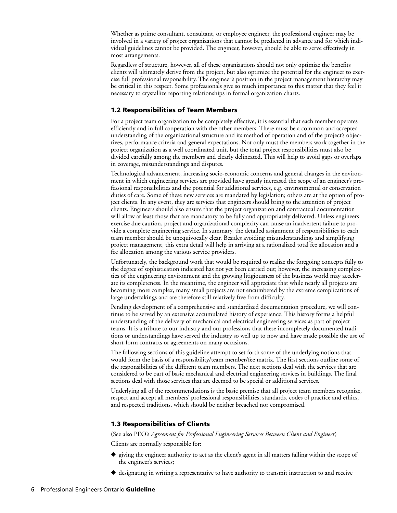Whether as prime consultant, consultant, or employee engineer, the professional engineer may be involved in a variety of project organizations that cannot be predicted in advance and for which individual guidelines cannot be provided. The engineer, however, should be able to serve effectively in most arrangements.

Regardless of structure, however, all of these organizations should not only optimize the benefits clients will ultimately derive from the project, but also optimize the potential for the engineer to exercise full professional responsibility. The engineer's position in the project management hierarchy may be critical in this respect. Some professionals give so much importance to this matter that they feel it necessary to crystallize reporting relationships in formal organization charts.

## **1.2 Responsibilities of Team Members**

For a project team organization to be completely effective, it is essential that each member operates efficiently and in full cooperation with the other members. There must be a common and accepted understanding of the organizational structure and its method of operation and of the project's objectives, performance criteria and general expectations. Not only must the members work together in the project organization as a well coordinated unit, but the total project responsibilities must also be divided carefully among the members and clearly delineated. This will help to avoid gaps or overlaps in coverage, misunderstandings and disputes.

Technological advancement, increasing socio-economic concerns and general changes in the environment in which engineering services are provided have greatly increased the scope of an engineer's professional responsibilities and the potential for additional services, e.g. environmental or conservation duties of care. Some of these new services are mandated by legislation; others are at the option of project clients. In any event, they are services that engineers should bring to the attention of project clients. Engineers should also ensure that the project organization and contractual documentation will allow at least those that are mandatory to be fully and appropriately delivered. Unless engineers exercise due caution, project and organizational complexity can cause an inadvertent failure to provide a complete engineering service. In summary, the detailed assignment of responsibilities to each team member should be unequivocally clear. Besides avoiding misunderstandings and simplifying project management, this extra detail will help in arriving at a rationalized total fee allocation and a fee allocation among the various service providers.

Unfortunately, the background work that would be required to realize the foregoing concepts fully to the degree of sophistication indicated has not yet been carried out; however, the increasing complexities of the engineering environment and the growing litigiousness of the business world may accelerate its completeness. In the meantime, the engineer will appreciate that while nearly all projects are becoming more complex, many small projects are not encumbered by the extreme complications of large undertakings and are therefore still relatively free from difficulty.

Pending development of a comprehensive and standardized documentation procedure, we will continue to be served by an extensive accumulated history of experience. This history forms a helpful understanding of the delivery of mechanical and electrical engineering services as part of project teams. It is a tribute to our industry and our professions that these incompletely documented traditions or understandings have served the industry so well up to now and have made possible the use of short-form contracts or agreements on many occasions.

The following sections of this guideline attempt to set forth some of the underlying notions that would form the basis of a responsibility/team member/fee matrix. The first sections outline some of the responsibilities of the different team members. The next sections deal with the services that are considered to be part of basic mechanical and electrical engineering services in buildings. The final sections deal with those services that are deemed to be special or additional services.

Underlying all of the recommendations is the basic premise that all project team members recognize, respect and accept all members' professional responsibilities, standards, codes of practice and ethics, and respected traditions, which should be neither breached nor compromised.

## **1.3 Responsibilities of Clients**

(See also PEO's *Agreement for Professional Engineering Services Between Client and Engineer*)

Clients are normally responsible for:

- ◆ giving the engineer authority to act as the client's agent in all matters falling within the scope of the engineer's services;
- **◆** designating in writing a representative to have authority to transmit instruction to and receive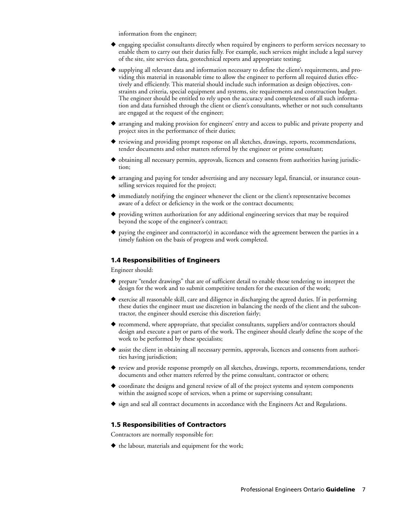information from the engineer;

- ◆ engaging specialist consultants directly when required by engineers to perform services necessary to enable them to carry out their duties fully. For example, such services might include a legal survey of the site, site services data, geotechnical reports and appropriate testing;
- **◆** supplying all relevant data and information necessary to define the client's requirements, and providing this material in reasonable time to allow the engineer to perform all required duties effectively and efficiently. This material should include such information as design objectives, constraints and criteria, special equipment and systems, site requirements and construction budget. The engineer should be entitled to rely upon the accuracy and completeness of all such information and data furnished through the client or client's consultants, whether or not such consultants are engaged at the request of the engineer;
- ◆ arranging and making provision for engineers' entry and access to public and private property and project sites in the performance of their duties;
- ◆ reviewing and providing prompt response on all sketches, drawings, reports, recommendations, tender documents and other matters referred by the engineer or prime consultant;
- ◆ obtaining all necessary permits, approvals, licences and consents from authorities having jurisdiction;
- **◆** arranging and paying for tender advertising and any necessary legal, financial, or insurance counselling services required for the project;
- ◆ immediately notifying the engineer whenever the client or the client's representative becomes aware of a defect or deficiency in the work or the contract documents;
- **◆** providing written authorization for any additional engineering services that may be required beyond the scope of the engineer's contract;
- **◆** paying the engineer and contractor(s) in accordance with the agreement between the parties in a timely fashion on the basis of progress and work completed.

## **1.4 Responsibilities of Engineers**

Engineer should:

- ◆ prepare "tender drawings" that are of sufficient detail to enable those tendering to interpret the design for the work and to submit competitive tenders for the execution of the work;
- ◆ exercise all reasonable skill, care and diligence in discharging the agreed duties. If in performing these duties the engineer must use discretion in balancing the needs of the client and the subcontractor, the engineer should exercise this discretion fairly;
- ◆ recommend, where appropriate, that specialist consultants, suppliers and/or contractors should design and execute a part or parts of the work. The engineer should clearly define the scope of the work to be performed by these specialists;
- ◆ assist the client in obtaining all necessary permits, approvals, licences and consents from authorities having jurisdiction;
- ◆ review and provide response promptly on all sketches, drawings, reports, recommendations, tender documents and other matters referred by the prime consultant, contractor or others;
- ◆ coordinate the designs and general review of all of the project systems and system components within the assigned scope of services, when a prime or supervising consultant;
- ◆ sign and seal all contract documents in accordance with the Engineers Act and Regulations.

#### **1.5 Responsibilities of Contractors**

Contractors are normally responsible for:

◆ the labour, materials and equipment for the work;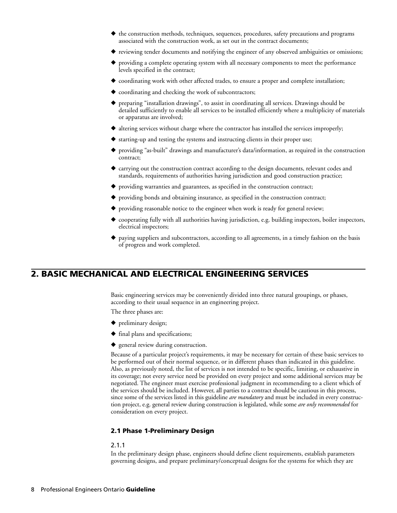- ◆ the construction methods, techniques, sequences, procedures, safety precautions and programs associated with the construction work, as set out in the contract documents;
- ◆ reviewing tender documents and notifying the engineer of any observed ambiguities or omissions;
- providing a complete operating system with all necessary components to meet the performance levels specified in the contract;
- ◆ coordinating work with other affected trades, to ensure a proper and complete installation;
- **◆** coordinating and checking the work of subcontractors;
- preparing "installation drawings", to assist in coordinating all services. Drawings should be detailed sufficiently to enable all services to be installed efficiently where a multiplicity of materials or apparatus are involved;
- ◆ altering services without charge where the contractor has installed the services improperly;
- ◆ starting-up and testing the systems and instructing clients in their proper use;
- **◆** providing "as-built" drawings and manufacturer's data/information, as required in the construction contract;
- ◆ carrying out the construction contract according to the design documents, relevant codes and standards, requirements of authorities having jurisdiction and good construction practice;
- **◆** providing warranties and guarantees, as specified in the construction contract;
- ◆ providing bonds and obtaining insurance, as specified in the construction contract;
- ◆ providing reasonable notice to the engineer when work is ready for general review;
- ◆ cooperating fully with all authorities having jurisdiction, e.g. building inspectors, boiler inspectors, electrical inspectors;
- paying suppliers and subcontractors, according to all agreements, in a timely fashion on the basis of progress and work completed.

# **2. BASIC MECHANICAL AND ELECTRICAL ENGINEERING SERVICES**

Basic engineering services may be conveniently divided into three natural groupings, or phases, according to their usual sequence in an engineering project.

The three phases are:

- **◆** preliminary design;
- **◆** final plans and specifications;
- **◆** general review during construction.

Because of a particular project's requirements, it may be necessary for certain of these basic services to be performed out of their normal sequence, or in different phases than indicated in this guideline. Also, as previously noted, the list of services is not intended to be specific, limiting, or exhaustive in its coverage; not every service need be provided on every project and some additional services may be negotiated. The engineer must exercise professional judgment in recommending to a client which of the services should be included. However, all parties to a contract should be cautious in this process, since some of the services listed in this guideline *are mandatory* and must be included in every construction project, e.g. general review during construction is legislated, while some *are only recommended* for consideration on every project.

## **2.1 Phase 1-Preliminary Design**

#### 2.1.1

In the preliminary design phase, engineers should define client requirements, establish parameters governing designs, and prepare preliminary/conceptual designs for the systems for which they are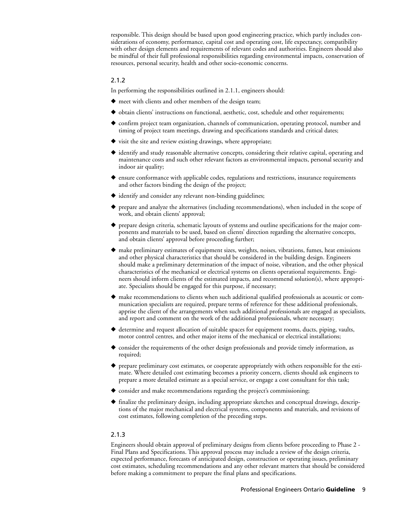responsible. This design should be based upon good engineering practice, which partly includes considerations of economy, performance, capital cost and operating cost, life expectancy, compatibility with other design elements and requirements of relevant codes and authorities. Engineers should also be mindful of their full professional responsibilities regarding environmental impacts, conservation of resources, personal security, health and other socio-economic concerns.

## 2.1.2

In performing the responsibilities outlined in 2.1.1, engineers should:

- **◆** meet with clients and other members of the design team;
- ◆ obtain clients' instructions on functional, aesthetic, cost, schedule and other requirements;
- ◆ confirm project team organization, channels of communication, operating protocol, number and timing of project team meetings, drawing and specifications standards and critical dates;
- **◆** visit the site and review existing drawings, where appropriate;
- **◆** identify and study reasonable alternative concepts, considering their relative capital, operating and maintenance costs and such other relevant factors as environmental impacts, personal security and indoor air quality;
- ◆ ensure conformance with applicable codes, regulations and restrictions, insurance requirements and other factors binding the design of the project;
- **◆** identify and consider any relevant non-binding guidelines;
- prepare and analyze the alternatives (including recommendations), when included in the scope of work, and obtain clients' approval;
- ◆ prepare design criteria, schematic layouts of systems and outline specifications for the major components and materials to be used, based on clients' direction regarding the alternative concepts, and obtain clients' approval before proceeding further;
- ◆ make preliminary estimates of equipment sizes, weights, noises, vibrations, fumes, heat emissions and other physical characteristics that should be considered in the building design. Engineers should make a preliminary determination of the impact of noise, vibration, and the other physical characteristics of the mechanical or electrical systems on clients operational requirements. Engineers should inform clients of the estimated impacts, and recommend solution(s), where appropriate. Specialists should be engaged for this purpose, if necessary;
- make recommendations to clients when such additional qualified professionals as acoustic or communication specialists are required, prepare terms of reference for these additional professionals, apprise the client of the arrangements when such additional professionals are engaged as specialists, and report and comment on the work of the additional professionals, where necessary;
- ◆ determine and request allocation of suitable spaces for equipment rooms, ducts, piping, vaults, motor control centres, and other major items of the mechanical or electrical installations;
- consider the requirements of the other design professionals and provide timely information, as required;
- ◆ prepare preliminary cost estimates, or cooperate appropriately with others responsible for the estimate. Where detailed cost estimating becomes a priority concern, clients should ask engineers to prepare a more detailed estimate as a special service, or engage a cost consultant for this task;
- ◆ consider and make recommendations regarding the project's commissioning;
- **◆** finalize the preliminary design, including appropriate sketches and conceptual drawings, descriptions of the major mechanical and electrical systems, components and materials, and revisions of cost estimates, following completion of the preceding steps.

## 2.1.3

Engineers should obtain approval of preliminary designs from clients before proceeding to Phase 2 - Final Plans and Specifications. This approval process may include a review of the design criteria, expected performance, forecasts of anticipated design, construction or operating issues, preliminary cost estimates, scheduling recommendations and any other relevant matters that should be considered before making a commitment to prepare the final plans and specifications.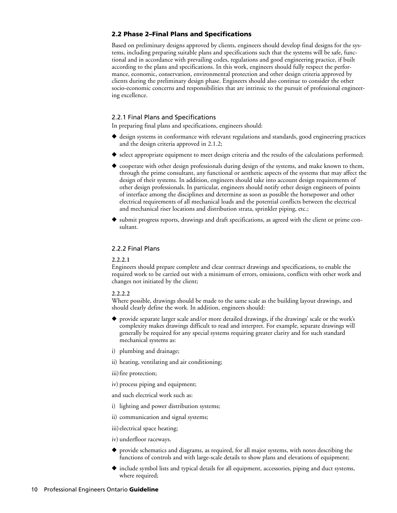## **2.2 Phase 2–Final Plans and Specifications**

Based on preliminary designs approved by clients, engineers should develop final designs for the systems, including preparing suitable plans and specifications such that the systems will be safe, functional and in accordance with prevailing codes, regulations and good engineering practice, if built according to the plans and specifications. In this work, engineers should fully respect the performance, economic, conservation, environmental protection and other design criteria approved by clients during the preliminary design phase. Engineers should also continue to consider the other socio-economic concerns and responsibilities that are intrinsic to the pursuit of professional engineering excellence.

## 2.2.1 Final Plans and Specifications

In preparing final plans and specifications, engineers should:

- ◆ design systems in conformance with relevant regulations and standards, good engineering practices and the design criteria approved in 2.1.2;
- ◆ select appropriate equipment to meet design criteria and the results of the calculations performed;
- ◆ cooperate with other design professionals during design of the systems, and make known to them, through the prime consultant, any functional or aesthetic aspects of the systems that may affect the design of their systems. In addition, engineers should take into account design requirements of other design professionals. In particular, engineers should notify other design engineers of points of interface among the disciplines and determine as soon as possible the horsepower and other electrical requirements of all mechanical loads and the potential conflicts between the electrical and mechanical riser locations and distribution strata, sprinkler piping, etc.;
- ◆ submit progress reports, drawings and draft specifications, as agreed with the client or prime consultant.

## 2.2.2 Final Plans

## **2.2.2.1**

Engineers should prepare complete and clear contract drawings and specifications, to enable the required work to be carried out with a minimum of errors, omissions, conflicts with other work and changes not initiated by the client;

#### **2.2.2.2**

Where possible, drawings should be made to the same scale as the building layout drawings, and should clearly define the work. In addition, engineers should:

- **◆** provide separate larger scale and/or more detailed drawings, if the drawings' scale or the work's complexity makes drawings difficult to read and interpret. For example, separate drawings will generally be required for any special systems requiring greater clarity and for such standard mechanical systems as:
- i) plumbing and drainage;
- ii) heating, ventilating and air conditioning;
- iii) fire protection;
- iv) process piping and equipment;

and such electrical work such as:

- i) lighting and power distribution systems;
- ii) communication and signal systems;

iii) electrical space heating;

iv) underfloor raceways.

- ◆ provide schematics and diagrams, as required, for all major systems, with notes describing the functions of controls and with large-scale details to show plans and elevations of equipment;
- ◆ include symbol lists and typical details for all equipment, accessories, piping and duct systems, where required;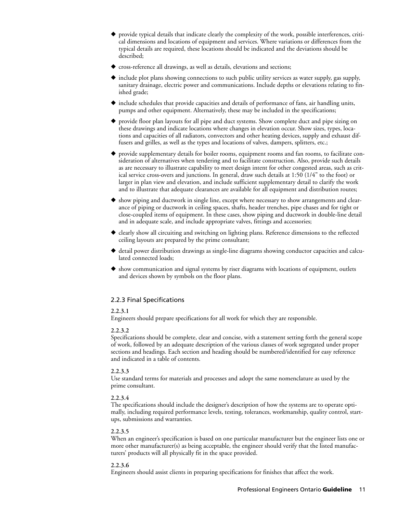- ◆ provide typical details that indicate clearly the complexity of the work, possible interferences, critical dimensions and locations of equipment and services. Where variations or differences from the typical details are required, these locations should be indicated and the deviations should be described;
- **◆** cross-reference all drawings, as well as details, elevations and sections;
- ◆ include plot plans showing connections to such public utility services as water supply, gas supply, sanitary drainage, electric power and communications. Include depths or elevations relating to finished grade;
- **◆** include schedules that provide capacities and details of performance of fans, air handling units, pumps and other equipment. Alternatively, these may be included in the specifications;
- provide floor plan layouts for all pipe and duct systems. Show complete duct and pipe sizing on these drawings and indicate locations where changes in elevation occur. Show sizes, types, locations and capacities of all radiators, convectors and other heating devices, supply and exhaust diffusers and grilles, as well as the types and locations of valves, dampers, splitters, etc.;
- provide supplementary details for boiler rooms, equipment rooms and fan rooms, to facilitate consideration of alternatives when tendering and to facilitate construction. Also, provide such details as are necessary to illustrate capability to meet design intent for other congested areas, such as critical service cross-overs and junctions. In general, draw such details at 1:50 (1/4" to the foot) or larger in plan view and elevation, and include sufficient supplementary detail to clarify the work and to illustrate that adequate clearances are available for all equipment and distribution routes;
- show piping and ductwork in single line, except where necessary to show arrangements and clearance of piping or ductwork in ceiling spaces, shafts, header trenches, pipe chases and for tight or close-coupled items of equipment. In these cases, show piping and ductwork in double-line detail and in adequate scale, and include appropriate valves, fittings and accessories;
- ◆ clearly show all circuiting and switching on lighting plans. Reference dimensions to the reflected ceiling layouts are prepared by the prime consultant;
- ◆ detail power distribution drawings as single-line diagrams showing conductor capacities and calculated connected loads;
- ◆ show communication and signal systems by riser diagrams with locations of equipment, outlets and devices shown by symbols on the floor plans.

## 2.2.3 Final Specifications

## **2.2.3.1**

Engineers should prepare specifications for all work for which they are responsible.

## **2.2.3.2**

Specifications should be complete, clear and concise, with a statement setting forth the general scope of work, followed by an adequate description of the various classes of work segregated under proper sections and headings. Each section and heading should be numbered/identified for easy reference and indicated in a table of contents.

#### **2.2.3.3**

Use standard terms for materials and processes and adopt the same nomenclature as used by the prime consultant.

## **2.2.3.4**

The specifications should include the designer's description of how the systems are to operate optimally, including required performance levels, testing, tolerances, workmanship, quality control, startups, submissions and warranties.

## **2.2.3.5**

When an engineer's specification is based on one particular manufacturer but the engineer lists one or more other manufacturer(s) as being acceptable, the engineer should verify that the listed manufacturers' products will all physically fit in the space provided.

#### **2.2.3.6**

Engineers should assist clients in preparing specifications for finishes that affect the work.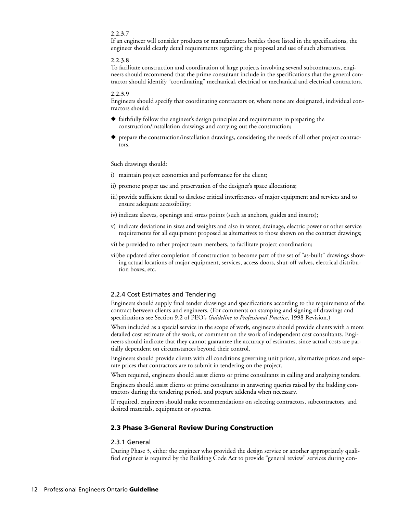#### **2.2.3.7**

If an engineer will consider products or manufacturers besides those listed in the specifications, the engineer should clearly detail requirements regarding the proposal and use of such alternatives.

#### **2.2.3.8**

To facilitate construction and coordination of large projects involving several subcontractors, engineers should recommend that the prime consultant include in the specifications that the general contractor should identify "coordinating" mechanical, electrical or mechanical and electrical contractors.

#### **2.2.3.9**

Engineers should specify that coordinating contractors or, where none are designated, individual contractors should:

- **◆** faithfully follow the engineer's design principles and requirements in preparing the construction/installation drawings and carrying out the construction;
- ◆ prepare the construction/installation drawings, considering the needs of all other project contractors.

## Such drawings should:

- i) maintain project economics and performance for the client;
- ii) promote proper use and preservation of the designer's space allocations;
- iii) provide sufficient detail to disclose critical interferences of major equipment and services and to ensure adequate accessibility;
- iv) indicate sleeves, openings and stress points (such as anchors, guides and inserts);
- v) indicate deviations in sizes and weights and also in water, drainage, electric power or other service requirements for all equipment proposed as alternatives to those shown on the contract drawings;
- vi) be provided to other project team members, to facilitate project coordination;
- vii)be updated after completion of construction to become part of the set of "as-built" drawings showing actual locations of major equipment, services, access doors, shut-off valves, electrical distribution boxes, etc.

#### 2.2.4 Cost Estimates and Tendering

Engineers should supply final tender drawings and specifications according to the requirements of the contract between clients and engineers. (For comments on stamping and signing of drawings and specifications see Section 9.2 of PEO's *Guideline to Professional Practice*, 1998 Revision.)

When included as a special service in the scope of work, engineers should provide clients with a more detailed cost estimate of the work, or comment on the work of independent cost consultants. Engineers should indicate that they cannot guarantee the accuracy of estimates, since actual costs are partially dependent on circumstances beyond their control.

Engineers should provide clients with all conditions governing unit prices, alternative prices and separate prices that contractors are to submit in tendering on the project.

When required, engineers should assist clients or prime consultants in calling and analyzing tenders.

Engineers should assist clients or prime consultants in answering queries raised by the bidding contractors during the tendering period, and prepare addenda when necessary.

If required, engineers should make recommendations on selecting contractors, subcontractors, and desired materials, equipment or systems.

#### **2.3 Phase 3-General Review During Construction**

#### 2.3.1 General

During Phase 3, either the engineer who provided the design service or another appropriately qualified engineer is required by the Building Code Act to provide "general review" services during con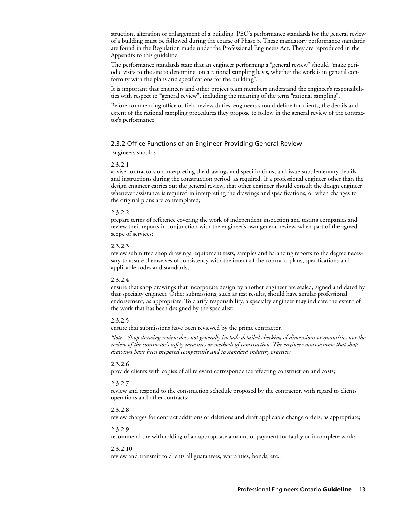struction, alteration or enlargement of a building. PEO's performance standards for the general review of a building must be followed during the course of Phase 3. These mandatory performance standards are found in the Regulation made under the Professional Engineers Act. They are reproduced in the Appendix to this guideline.

The performance standards state that an engineer performing a "general review" should "make periodic visits to the site to determine, on a rational sampling basis, whether the work is in general conformity with the plans and specifications for the building".

It is important that engineers and other project team members understand the engineer's responsibilities with respect to "general review", including the meaning of the term "rational sampling".

Before commencing office or field review duties, engineers should define for clients, the details and extent of the rational sampling procedures they propose to follow in the general review of the contractor's performance.

## 2.3.2 Office Functions of an Engineer Providing General Review

Engineers should:

#### **2.3.2.1**

advise contractors on interpreting the drawings and specifications, and issue supplementary details and instructions during the construction period, as required. If a professional engineer other than the design engineer carries out the general review, that other engineer should consult the design engineer whenever assistance is required in interpreting the drawings and specifications, or when changes to the original plans are contemplated;

#### **2.3.2.2**

prepare terms of reference covering the work of independent inspection and testing companies and review their reports in conjunction with the engineer's own general review, when part of the agreed scope of services;

#### **2.3.2.3**

review submitted shop drawings, equipment tests, samples and balancing reports to the degree necessary to assure themselves of consistency with the intent of the contract, plans, specifications and applicable codes and standards;

#### **2.3.2.4**

ensure that shop drawings that incorporate design by another engineer are sealed, signed and dated by that specialty engineer. Other submissions, such as test results, should have similar professional endorsement, as appropriate. To clarify responsibility, a specialty engineer may indicate the extent of the work that has been designed by the specialist;

## **2.3.2.5**

ensure that submissions have been reviewed by the prime contractor.

*Note.- Shop drawing review does not generally include detailed checking of dimensions or quantities nor the review of the contractor's safety measures or methods of construction. The engineer must assume that shop drawings have been prepared competently and to standard industry practice;* 

#### **2.3.2.6**

provide clients with copies of all relevant correspondence affecting construction and costs;

### **2.3.2.7**

review and respond to the construction schedule proposed by the contractor, with regard to clients' operations and other contracts;

#### **2.3.2.8**

review charges for contract additions or deletions and draft applicable change orders, as appropriate;

#### **2.3.2.9**

recommend the withholding of an appropriate amount of payment for faulty or incomplete work;

#### **2.3.2.10**

review and transmit to clients all guarantees, warranties, bonds, etc.;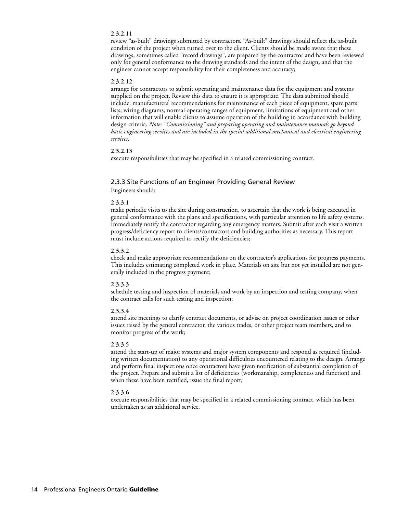#### **2.3.2.11**

review "as-built" drawings submitted by contractors. "As-built" drawings should reflect the as-built condition of the project when turned over to the client. Clients should be made aware that these drawings, sometimes called "record drawings", are prepared by the contractor and have been reviewed only for general conformance to the drawing standards and the intent of the design, and that the engineer cannot accept responsibility for their completeness and accuracy;

#### **2.3.2.12**

arrange for contractors to submit operating and maintenance data for the equipment and systems supplied on the project. Review this data to ensure it is appropriate. The data submitted should include: manufacturers' recommendations for maintenance of each piece of equipment, spare parts lists, wiring diagrams, normal operating ranges of equipment, limitations of equipment and other information that will enable clients to assume operation of the building in accordance with building design criteria. *Note: "Commissioning" and preparing operating and maintenance manuals go beyond basic engineering services and are included in the special additional mechanical and electrical engineering services,*

#### **2.3.2.13**

execute responsibilities that may be specified in a related commissioning contract.

## 2.3.3 Site Functions of an Engineer Providing General Review Engineers should:

#### **2.3.3.1**

make periodic visits to the site during construction, to ascertain that the work is being executed in general conformance with the plans and specifications, with particular attention to life safety systems. Immediately notify the contractor regarding any emergency matters. Submit after each visit a written progress/deficiency report to clients/contractors and building authorities as necessary. This report must include actions required to rectify the deficiencies;

#### **2.3.3.2**

check and make appropriate recommendations on the contractor's applications for progress payments. This includes estimating completed work in place. Materials on site but not yet installed are not generally included in the progress payment;

#### **2.3.3.3**

schedule testing and inspection of materials and work by an inspection and testing company, when the contract calls for such testing and inspection;

#### **2.3.3.4**

attend site meetings to clarify contract documents, or advise on project coordination issues or other issues raised by the general contractor, the various trades, or other project team members, and to monitor progress of the work;

#### **2.3.3.5**

attend the start-up of major systems and major system components and respond as required (including written documentation) to any operational difficulties encountered relating to the design. Arrange and perform final inspections once contractors have given notification of substantial completion of the project. Prepare and submit a list of deficiencies (workmanship, completeness and function) and when these have been rectified, issue the final report;

#### **2.3.3.6**

execute responsibilities that may be specified in a related commissioning contract, which has been undertaken as an additional service.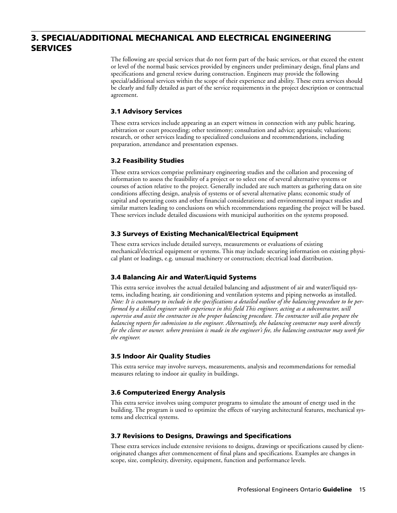# **3. SPECIAL/ADDITIONAL MECHANICAL AND ELECTRICAL ENGINEERING SERVICES**

The following are special services that do not form part of the basic services, or that exceed the extent or level of the normal basic services provided by engineers under preliminary design, final plans and specifications and general review during construction. Engineers may provide the following special/additional services within the scope of their experience and ability. These extra services should be clearly and fully detailed as part of the service requirements in the project description or contractual agreement.

## **3.1 Advisory Services**

These extra services include appearing as an expert witness in connection with any public hearing, arbitration or court proceeding; other testimony; consultation and advice; appraisals; valuations; research, or other services leading to specialized conclusions and recommendations, including preparation, attendance and presentation expenses.

## **3.2 Feasibility Studies**

These extra services comprise preliminary engineering studies and the collation and processing of information to assess the feasibility of a project or to select one of several alternative systems or courses of action relative to the project. Generally included are such matters as gathering data on site conditions affecting design, analysis of systems or of several alternative plans; economic study of capital and operating costs and other financial considerations; and environmental impact studies and similar matters leading to conclusions on which recommendations regarding the project will be based. These services include detailed discussions with municipal authorities on the systems proposed.

## **3.3 Surveys of Existing Mechanical/Electrical Equipment**

These extra services include detailed surveys, measurements or evaluations of existing mechanical/electrical equipment or systems. This may include securing information on existing physical plant or loadings, e.g. unusual machinery or construction; electrical load distribution.

## **3.4 Balancing Air and Water/Liquid Systems**

This extra service involves the actual detailed balancing and adjustment of air and water/liquid systems, including heating, air conditioning and ventilation systems and piping networks as installed. *Note: It is customary to include in the specifications a detailed outline of the balancing procedure to be performed by a skilled engineer with experience in this field This engineer, acting as a subcontractor, will supervise and assist the contractor in the proper balancing procedure. The contractor will also prepare the balancing reports for submission to the engineer. Alternatively, the balancing contractor may work directly for the client or owner. where provision is made in the engineer's fee, the balancing contractor may work for the engineer.*

## **3.5 Indoor Air Quality Studies**

This extra service may involve surveys, measurements, analysis and recommendations for remedial measures relating to indoor air quality in buildings.

## **3.6 Computerized Energy Analysis**

This extra service involves using computer programs to simulate the amount of energy used in the building. The program is used to optimize the effects of varying architectural features, mechanical systems and electrical systems.

## **3.7 Revisions to Designs, Drawings and Specifications**

These extra services include extensive revisions to designs, drawings or specifications caused by clientoriginated changes after commencement of final plans and specifications. Examples are changes in scope, size, complexity, diversity, equipment, function and performance levels.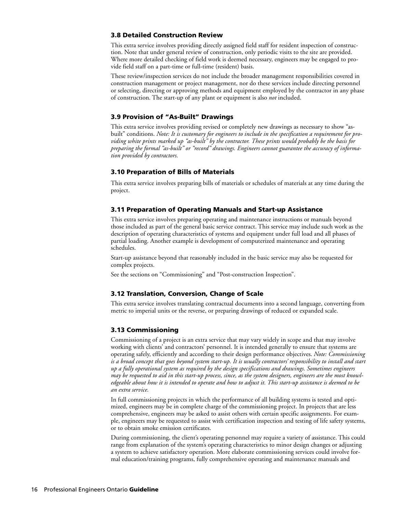## **3.8 Detailed Construction Review**

This extra service involves providing directly assigned field staff for resident inspection of construction. Note that under general review of construction, only periodic visits to the site are provided. Where more detailed checking of field work is deemed necessary, engineers may be engaged to provide field staff on a part-time or full-time (resident) basis.

These review/inspection services do not include the broader management responsibilities covered in construction management or project management, nor do these services include directing personnel or selecting, directing or approving methods and equipment employed by the contractor in any phase of construction. The start-up of any plant or equipment is also *not* included.

## **3.9 Provision of "As-Built" Drawings**

This extra service involves providing revised or completely new drawings as necessary to show "asbuilt" conditions. *Note: It is customary for engineers to include in the specification a requirement for providing white prints marked up "as-built" by the contractor. These prints would probably be the basis for preparing the formal "as-built" or "record" drawings. Engineers cannot guarantee the accuracy of information provided by contractors.*

## **3.10 Preparation of Bills of Materials**

This extra service involves preparing bills of materials or schedules of materials at any time during the project.

## **3.11 Preparation of Operating Manuals and Start-up Assistance**

This extra service involves preparing operating and maintenance instructions or manuals beyond those included as part of the general basic service contract. This service may include such work as the description of operating characteristics of systems and equipment under full load and all phases of partial loading. Another example is development of computerized maintenance and operating schedules.

Start-up assistance beyond that reasonably included in the basic service may also be requested for complex projects.

See the sections on "Commissioning" and "Post-construction Inspection".

## **3.12 Translation, Conversion, Change of Scale**

This extra service involves translating contractual documents into a second language, converting from metric to imperial units or the reverse, or preparing drawings of reduced or expanded scale.

## **3.13 Commissioning**

Commissioning of a project is an extra service that may vary widely in scope and that may involve working with clients' and contractors' personnel. It is intended generally to ensure that systems are operating safely, efficiently and according to their design performance objectives. *Note: Commissioning is a broad concept that goes beyond system start-up. It is usually contractors' responsibility to install and start up a fully operational system as required by the design specifications and drawings. Sometimes engineers may be requested to aid in this start-up process, since, as the system designers, engineers are the most knowledgeable about how it is intended to operate and how to adjust it. This start-up assistance is deemed to be an extra service.* 

In full commissioning projects in which the performance of all building systems is tested and optimized, engineers may be in complete charge of the commissioning project. In projects that are less comprehensive, engineers may be asked to assist others with certain specific assignments. For example, engineers may be requested to assist with certification inspection and testing of life safety systems, or to obtain smoke emission certificates.

During commissioning, the client's operating personnel may require a variety of assistance. This could range from explanation of the system's operating characteristics to minor design changes or adjusting a system to achieve satisfactory operation. More elaborate commissioning services could involve formal education/training programs, fully comprehensive operating and maintenance manuals and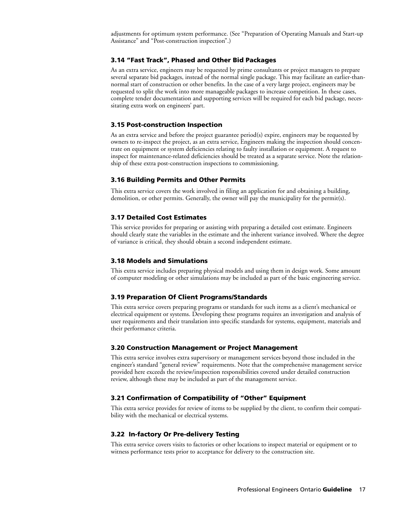adjustments for optimum system performance. (See "Preparation of Operating Manuals and Start-up Assistance" and "Post-construction inspection".)

## **3.14 "Fast Track", Phased and Other Bid Packages**

As an extra service, engineers may be requested by prime consultants or project managers to prepare several separate bid packages, instead of the normal single package. This may facilitate an earlier-thannormal start of construction or other benefits. In the case of a very large project, engineers may be requested to split the work into more manageable packages to increase competition. In these cases, complete tender documentation and supporting services will be required for each bid package, necessitating extra work on engineers' part.

#### **3.15 Post-construction Inspection**

As an extra service and before the project guarantee period(s) expire, engineers may be requested by owners to re-inspect the project, as an extra service, Engineers making the inspection should concentrate on equipment or system deficiencies relating to faulty installation or equipment. A request to inspect for maintenance-related deficiencies should be treated as a separate service. Note the relationship of these extra post-construction inspections to commissioning.

## **3.16 Building Permits and Other Permits**

This extra service covers the work involved in filing an application for and obtaining a building, demolition, or other permits. Generally, the owner will pay the municipality for the permit(s).

## **3.17 Detailed Cost Estimates**

This service provides for preparing or assisting with preparing a detailed cost estimate. Engineers should clearly state the variables in the estimate and the inherent variance involved. Where the degree of variance is critical, they should obtain a second independent estimate.

#### **3.18 Models and Simulations**

This extra service includes preparing physical models and using them in design work. Some amount of computer modeling or other simulations may be included as part of the basic engineering service.

## **3.19 Preparation Of Client Programs/Standards**

This extra service covers preparing programs or standards for such items as a client's mechanical or electrical equipment or systems. Developing these programs requires an investigation and analysis of user requirements and their translation into specific standards for systems, equipment, materials and their performance criteria.

#### **3.20 Construction Management or Project Management**

This extra service involves extra supervisory or management services beyond those included in the engineer's standard "general review" requirements. Note that the comprehensive management service provided here exceeds the review/inspection responsibilities covered under detailed construction review, although these may be included as part of the management service.

## **3.21 Confirmation of Compatibility of "Other" Equipment**

This extra service provides for review of items to be supplied by the client, to confirm their compatibility with the mechanical or electrical systems.

## **3.22 In-factory Or Pre-delivery Testing**

This extra service covers visits to factories or other locations to inspect material or equipment or to witness performance tests prior to acceptance for delivery to the construction site.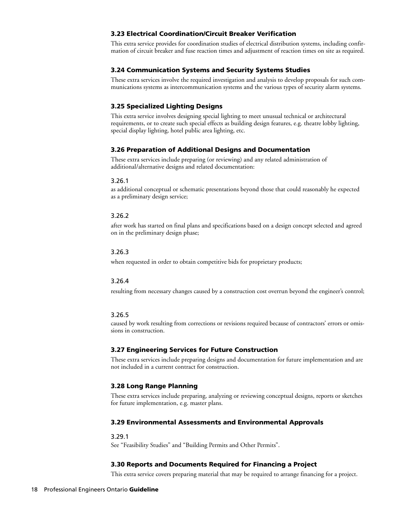## **3.23 Electrical Coordination/Circuit Breaker Verification**

This extra service provides for coordination studies of electrical distribution systems, including confirmation of circuit breaker and fuse reaction times and adjustment of reaction times on site as required.

## **3.24 Communication Systems and Security Systems Studies**

These extra services involve the required investigation and analysis to develop proposals for such communications systems as intercommunication systems and the various types of security alarm systems.

## **3.25 Specialized Lighting Designs**

This extra service involves designing special lighting to meet unusual technical or architectural requirements, or to create such special effects as building design features, e.g. theatre lobby lighting, special display lighting, hotel public area lighting, etc.

## **3.26 Preparation of Additional Designs and Documentation**

These extra services include preparing (or reviewing) and any related administration of additional/alternative designs and related documentation:

#### 3.26.1

as additional conceptual or schematic presentations beyond those that could reasonably he expected as a preliminary design service;

#### 3.26.2

after work has started on final plans and specifications based on a design concept selected and agreed on in the preliminary design phase;

#### 3.26.3

when requested in order to obtain competitive bids for proprietary products;

## 3.26.4

resulting from necessary changes caused by a construction cost overrun beyond the engineer's control;

#### 3.26.5

caused by work resulting from corrections or revisions required because of contractors' errors or omissions in construction.

#### **3.27 Engineering Services for Future Construction**

These extra services include preparing designs and documentation for future implementation and are not included in a current contract for construction.

## **3.28 Long Range Planning**

These extra services include preparing, analyzing or reviewing conceptual designs, reports or sketches for future implementation, e.g. master plans.

#### **3.29 Environmental Assessments and Environmental Approvals**

#### 3.29.1

See "Feasibility Studies" and "Building Permits and Other Permits".

## **3.30 Reports and Documents Required for Financing a Project**

This extra service covers preparing material that may be required to arrange financing for a project.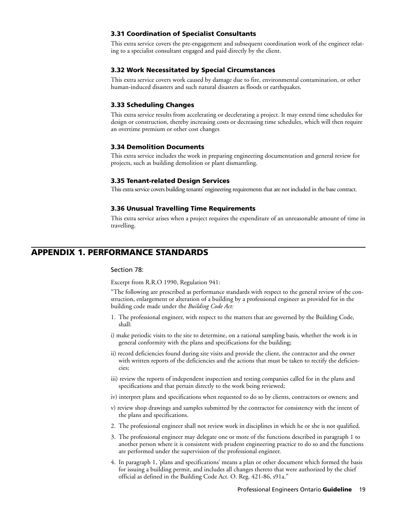## **3.31 Coordination of Specialist Consultants**

This extra service covers the pre-engagement and subsequent coordination work of the engineer relating to a specialist consultant engaged and paid directly by the client.

## **3.32 Work Necessitated by Special Circumstances**

This extra service covers work caused by damage due to fire, environmental contamination, or other human-induced disasters and such natural disasters as floods or earthquakes.

### **3.33 Scheduling Changes**

This extra service results from accelerating or decelerating a project. It may extend time schedules for design or construction, thereby increasing costs or decreasing time schedules, which will then require an overtime premium or other cost changes

#### **3.34 Demolition Documents**

This extra service includes the work in preparing engineering documentation and general review for projects, such as building demolition or plant dismantling.

#### **3.35 Tenant-related Design Services**

This extra service covers building tenants' engineering requirements that are not included in the base contract.

#### **3.36 Unusual Travelling Time Requirements**

This extra service arises when a project requires the expenditure of an unreasonable amount of time in travelling.

## **APPENDIX 1. PERFORMANCE STANDARDS**

#### Section 78:

Excerpt from R.R.O 1990, Regulation 941:

"The following are prescribed as performance standards with respect to the general review of the construction, enlargement or alteration of a building by a professional engineer as provided for in the building code made under the *Building Code Act:*

- 1. The professional engineer, with respect to the matters that are governed by the Building Code, shall:
- i) make periodic visits to the site to determine, on a rational sampling basis, whether the work is in general conformity with the plans and specifications for the building;
- ii) record deficiencies found during site visits and provide the client, the contractor and the owner with written reports of the deficiencies and the actions that must be taken to rectify the deficiencies;
- iii) review the reports of independent inspection and testing companies called for in the plans and specifications and that pertain directly to the work being reviewed;
- iv) interpret plans and specifications when requested to do so by clients, contractors or owners; and
- v) review shop drawings and samples submitted by the contractor for consistency with the intent of the plans and specifications.
- 2. The professional engineer shall not review work in disciplines in which he or she is not qualified.
- 3. The professional engineer may delegate one or more of the functions described in paragraph 1 to another person where it is consistent with prudent engineering practice to do so and the functions are performed under the supervision of the professional engineer.
- 4. In paragraph 1, 'plans and specifications' means a plan or other document which formed the basis for issuing a building permit, and includes all changes thereto that were authorized by the chief official as defined in the Building Code Act. O. Reg. 421-86, s91a."